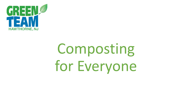

# Composting for Everyone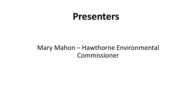# **Presenters**

### Mary Mahon – Hawthorne Environmental Commissioner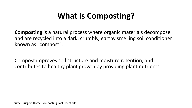# **What is Composting?**

**Composting** is a natural process where organic materials decompose and are recycled into a dark, crumbly, earthy smelling soil conditioner known as "compost".

Compost improves soil structure and moisture retention, and contributes to healthy plant growth by providing plant nutrients.

Source: Rutgers Home Composting Fact Sheet 811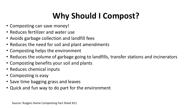# **Why Should I Compost?**

- Composting can save money!
- Reduces fertilizer and water use
- Avoids garbage collection and landfill fees
- Reduces the need for soil and plant amendments
- Composting helps the environment
- Reduces the volume of garbage going to landfills, transfer stations and incinerators
- Composting benefits your soil and plants
- Reduces chemical inputs
- Composting is easy
- Save time bagging grass and leaves
- Quick and fun way to do part for the environment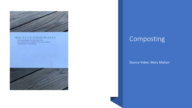

#### **RECYCLE FOOD WASTE**

Less garbage for the land fills<br>Excellent free compost for your plants<br>Inexpensive and Easy



### Composting

#### Source Video: Mary Mahon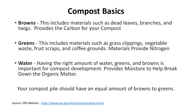## **Compost Basics**

- **Browns**  This includes materials such as dead leaves, branches, and twigs. Provides the Carbon for your Compost
- **Greens** This includes materials such as grass clippings, vegetable waste, fruit scraps, and coffee grounds. Materials Provide Nitrogen
- **Water** Having the right amount of water, greens, and browns is important for compost development. Provides Moisture to Help Break Down the Organic Matter.

Your compost pile should have an equal amount of browns to greens.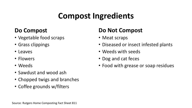# **Compost Ingredients**

### **Do Compost**

- Vegetable food scraps
- Grass clippings
- Leaves
- Flowers
- Weeds
- Sawdust and wood ash
- Chopped twigs and branches
- Coffee grounds w/filters

### **Do Not Compost**

- Meat scraps
- Diseased or insect infested plants
- Weeds with seeds
- Dog and cat feces
- Food with grease or soap residues

Source: Rutgers Home Composting Fact Sheet 811